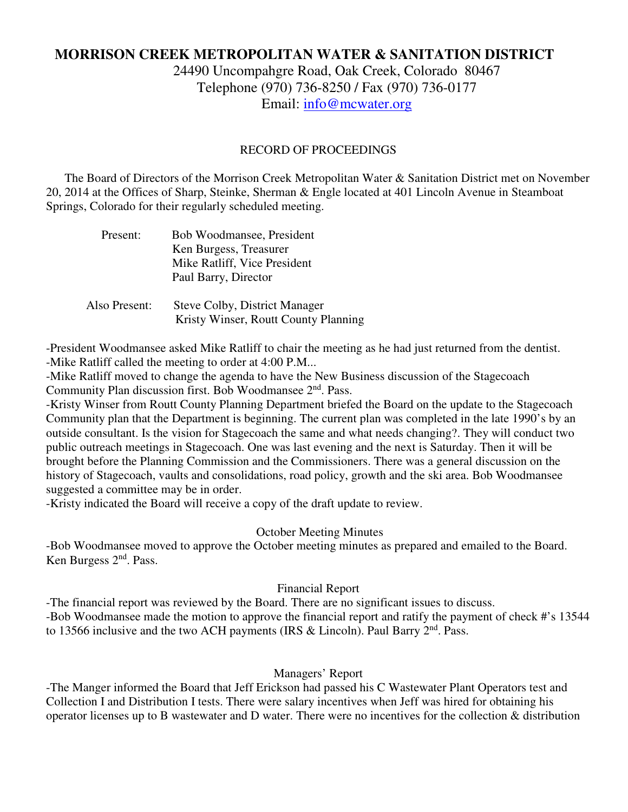# **MORRISON CREEK METROPOLITAN WATER & SANITATION DISTRICT**

24490 Uncompahgre Road, Oak Creek, Colorado 80467 Telephone (970) 736-8250 / Fax (970) 736-0177 Email: info@mcwater.org

### RECORD OF PROCEEDINGS

 The Board of Directors of the Morrison Creek Metropolitan Water & Sanitation District met on November 20, 2014 at the Offices of Sharp, Steinke, Sherman & Engle located at 401 Lincoln Avenue in Steamboat Springs, Colorado for their regularly scheduled meeting.

| Present:      | Bob Woodmansee, President<br>Ken Burgess, Treasurer<br>Mike Ratliff, Vice President<br>Paul Barry, Director |
|---------------|-------------------------------------------------------------------------------------------------------------|
| Also Present: | <b>Steve Colby, District Manager</b><br>Kristy Winser, Routt County Planning                                |

-President Woodmansee asked Mike Ratliff to chair the meeting as he had just returned from the dentist. -Mike Ratliff called the meeting to order at 4:00 P.M...

-Mike Ratliff moved to change the agenda to have the New Business discussion of the Stagecoach Community Plan discussion first. Bob Woodmansee  $2<sup>nd</sup>$ . Pass.

-Kristy Winser from Routt County Planning Department briefed the Board on the update to the Stagecoach Community plan that the Department is beginning. The current plan was completed in the late 1990's by an outside consultant. Is the vision for Stagecoach the same and what needs changing?. They will conduct two public outreach meetings in Stagecoach. One was last evening and the next is Saturday. Then it will be brought before the Planning Commission and the Commissioners. There was a general discussion on the history of Stagecoach, vaults and consolidations, road policy, growth and the ski area. Bob Woodmansee suggested a committee may be in order.

-Kristy indicated the Board will receive a copy of the draft update to review.

## October Meeting Minutes

-Bob Woodmansee moved to approve the October meeting minutes as prepared and emailed to the Board. Ken Burgess 2<sup>nd</sup>. Pass.

## Financial Report

-The financial report was reviewed by the Board. There are no significant issues to discuss. -Bob Woodmansee made the motion to approve the financial report and ratify the payment of check #'s 13544 to 13566 inclusive and the two ACH payments (IRS & Lincoln). Paul Barry  $2<sup>nd</sup>$ . Pass.

## Managers' Report

-The Manger informed the Board that Jeff Erickson had passed his C Wastewater Plant Operators test and Collection I and Distribution I tests. There were salary incentives when Jeff was hired for obtaining his operator licenses up to B wastewater and D water. There were no incentives for the collection & distribution